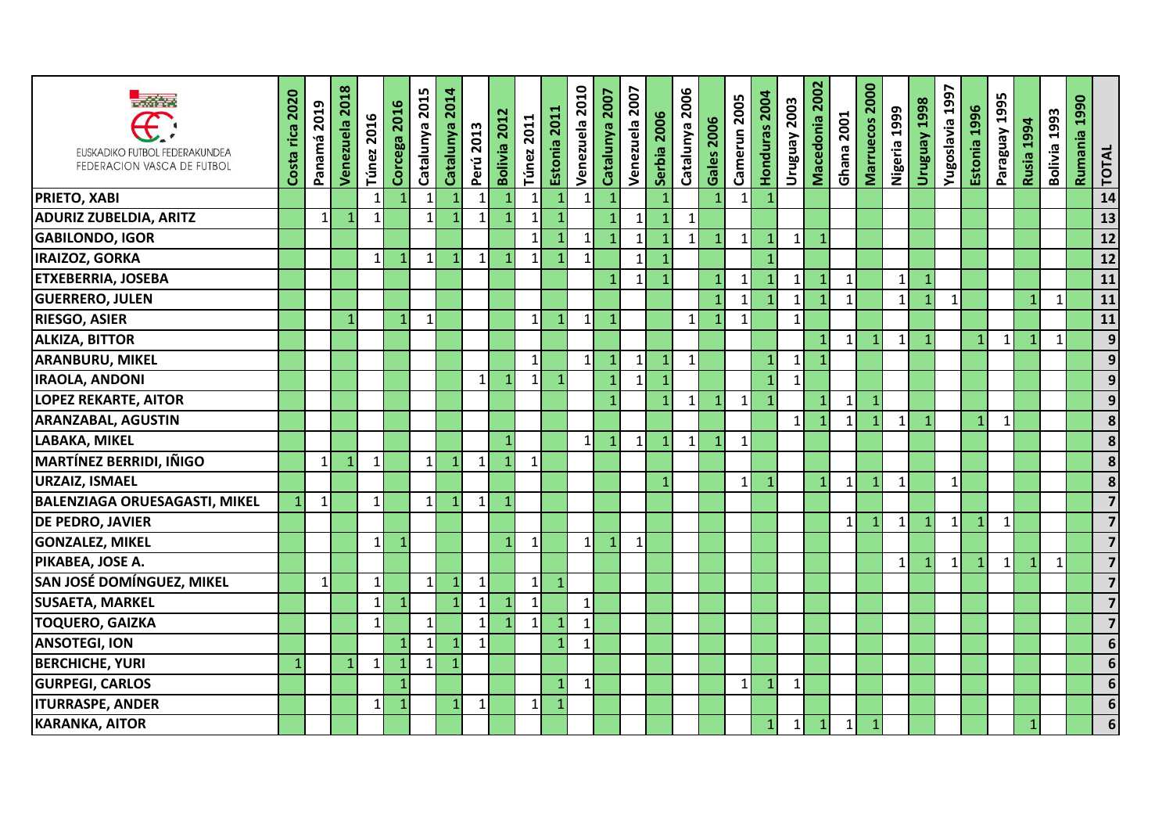| <b>R</b> ead on<br>EUSKADIKO FUTBOL FEDERAKUNDEA<br>FEDERACION VASCA DE FUTBOL | 2020<br>Costa rica | 2019<br>Panamá | Venezuela 2018 | <b>Túnez 2016</b> | Corcega 2016   | Catalunya 2015  | 2014<br>Catalunya | Perú 2013    | Bolivia 2012 | <b>Túnez 2011</b> | Estonia 2011   | Venezuela 2010 | Catalunya 2007 | Venezuela 2007 | Serbia 2006    | Catalunya 2006 | <b>Gales 2006</b> | Camerun 2005   | Honduras 2004  | Uruguay 2003 | 2002<br>Macedonia | Ghana 2001   | Marruecos 2000 | Nigeria 1999 | Uruguay 1998 | 1997<br>Yugoslavia | Estonia 1996 | Paraguay 1995 | Rusia 1994   | Bolivia 1993 | 1990<br>Rumania | TOTAL                   |
|--------------------------------------------------------------------------------|--------------------|----------------|----------------|-------------------|----------------|-----------------|-------------------|--------------|--------------|-------------------|----------------|----------------|----------------|----------------|----------------|----------------|-------------------|----------------|----------------|--------------|-------------------|--------------|----------------|--------------|--------------|--------------------|--------------|---------------|--------------|--------------|-----------------|-------------------------|
| <b>PRIETO, XABI</b>                                                            |                    |                |                | 1                 | $\mathbf{1}$   | $\mathbf{1}$    | $\overline{1}$    | $\mathbf{1}$ | $\mathbf{1}$ | $\mathbf{1}$      |                | 1              | $\mathbf{1}$   |                | $\mathbf{1}$   |                | $\overline{1}$    | 1              | $\mathbf{1}$   |              |                   |              |                |              |              |                    |              |               |              |              |                 | 14                      |
| <b>ADURIZ ZUBELDIA, ARITZ</b>                                                  |                    | $\mathbf 1$    | 1              | 1                 |                | $\mathbf{1}$    | $\overline{1}$    | $\mathbf{1}$ |              | $\mathbf{1}$      |                |                |                | $\mathbf{1}$   | $\mathbf{1}$   | 1              |                   |                |                |              |                   |              |                |              |              |                    |              |               |              |              |                 | 13                      |
| <b>GABILONDO, IGOR</b>                                                         |                    |                |                |                   |                |                 |                   |              |              | $\mathbf{1}$      |                | 1              | $\mathbf{1}$   | $\mathbf{1}$   | $\mathbf{1}$   | $\mathbf{1}$   | $\mathbf{1}$      | 1 <sup>1</sup> | $\mathbf{1}$   | $1\vert$     | $\mathbf{1}$      |              |                |              |              |                    |              |               |              |              |                 | 12                      |
| <b>IRAIZOZ, GORKA</b>                                                          |                    |                |                | $\mathbf{1}$      | $\mathbf{1}$   | $1\overline{ }$ | $\mathbf{1}$      | 1            | $\mathbf{1}$ | $\mathbf{1}$      |                | 1              |                | $\mathbf{1}$   | $\mathbf{1}$   |                |                   |                | $\overline{1}$ |              |                   |              |                |              |              |                    |              |               |              |              |                 | 12                      |
| <b>ETXEBERRIA, JOSEBA</b>                                                      |                    |                |                |                   |                |                 |                   |              |              |                   |                |                |                |                | $\mathbf{1}$   |                | 1                 |                | $\mathbf{1}$   | $\vert$ 1    | $\mathbf{1}$      | $\mathbf{1}$ |                | $\mathbf{1}$ |              |                    |              |               |              |              |                 | 11                      |
| <b>GUERRERO, JULEN</b>                                                         |                    |                |                |                   |                |                 |                   |              |              |                   |                |                |                |                |                |                | $\mathbf{1}$      | $\mathbf{1}$   | $\mathbf{1}$   | $\vert$ 1    | 1                 | $\mathbf{1}$ |                | $\mathbf{1}$ | $\mathbf{1}$ | $\mathbf{1}$       |              |               | $\mathbf{1}$ | $\mathbf{1}$ |                 | 11                      |
| <b>RIESGO, ASIER</b>                                                           |                    |                | 1              |                   | 1              | $\mathbf{1}$    |                   |              |              | $\mathbf{1}$      |                | $\mathbf{1}$   | $\mathbf{1}$   |                |                | $\mathbf{1}$   | $\mathbf{1}$      | $\mathbf{1}$   |                | $\mathbf{1}$ |                   |              |                |              |              |                    |              |               |              |              |                 | $\overline{11}$         |
| <b>ALKIZA, BITTOR</b>                                                          |                    |                |                |                   |                |                 |                   |              |              |                   |                |                |                |                |                |                |                   |                |                |              | $\mathbf{1}$      | $\mathbf{1}$ | 1              | $\mathbf{1}$ | $\mathbf{1}$ |                    | $\mathbf{1}$ | $\mathbf{1}$  | $\mathbf{1}$ | $\mathbf{1}$ |                 | $\overline{9}$          |
| <b>ARANBURU, MIKEL</b>                                                         |                    |                |                |                   |                |                 |                   |              |              | $\mathbf{1}$      |                | 1              |                | 1              | $\mathbf{1}$   | $\mathbf{1}$   |                   |                | $\mathbf{1}$   | $\vert$ 1    | $\mathbf{1}$      |              |                |              |              |                    |              |               |              |              |                 | $\mathbf{9}$            |
| <b>IRAOLA, ANDONI</b>                                                          |                    |                |                |                   |                |                 |                   | $\mathbf{1}$ |              | $\mathbf{1}$      |                |                | 1              | $\mathbf{1}$   | $\overline{1}$ |                |                   |                | $\overline{1}$ | $\vert$ 1    |                   |              |                |              |              |                    |              |               |              |              |                 | $\mathbf{9}$            |
| <b>LOPEZ REKARTE, AITOR</b>                                                    |                    |                |                |                   |                |                 |                   |              |              |                   |                |                | $\mathbf{1}$   |                | $\mathbf{1}$   | $\mathbf{1}$   | $\mathbf{1}$      | $1\vert$       | $\mathbf{1}$   |              | $\mathbf{1}$      | $\mathbf{1}$ |                |              |              |                    |              |               |              |              |                 | 9                       |
| <b>ARANZABAL, AGUSTIN</b>                                                      |                    |                |                |                   |                |                 |                   |              |              |                   |                |                |                |                |                |                |                   |                |                | $\mathbf{1}$ |                   | $\mathbf{1}$ |                | $\mathbf{1}$ |              |                    | $\mathbf{1}$ | $\mathbf{1}$  |              |              |                 | 8                       |
| <b>LABAKA, MIKEL</b>                                                           |                    |                |                |                   |                |                 |                   |              | 1            |                   |                | 1              | $\mathbf{1}$   | $\mathbf{1}$   | $\mathbf{1}$   | $\mathbf{1}$   | $\mathbf{1}$      | $\mathbf{1}$   |                |              |                   |              |                |              |              |                    |              |               |              |              |                 | $\overline{\mathbf{8}}$ |
| <b>MARTÍNEZ BERRIDI, IÑIGO</b>                                                 |                    | $\mathbf{1}$   | $\mathbf{1}$   | $\mathbf{1}$      |                | $1\overline{ }$ | $\mathbf{1}$      |              | $\mathbf 1$  | $\mathbf{1}$      |                |                |                |                |                |                |                   |                |                |              |                   |              |                |              |              |                    |              |               |              |              |                 | 8                       |
| <b>URZAIZ, ISMAEL</b>                                                          |                    |                |                |                   |                |                 |                   |              |              |                   |                |                |                |                | $\mathbf{1}$   |                |                   | 1 <sup>1</sup> | $\mathbf{1}$   |              | $\vert$ 1         | $\mathbf 1$  | 1              | $\mathbf{1}$ |              | $\mathbf{1}$       |              |               |              |              |                 | 8                       |
| <b>BALENZIAGA ORUESAGASTI, MIKEL</b>                                           | $\mathbf{1}$       | $\mathbf{1}$   |                | $\mathbf{1}$      |                | $1\vert$        | $\mathbf{1}$      | $1\vert$     | $\mathbf{1}$ |                   |                |                |                |                |                |                |                   |                |                |              |                   |              |                |              |              |                    |              |               |              |              |                 |                         |
| <b>DE PEDRO, JAVIER</b>                                                        |                    |                |                |                   |                |                 |                   |              |              |                   |                |                |                |                |                |                |                   |                |                |              |                   | $\mathbf{1}$ |                | $\mathbf{1}$ |              | $\mathbf{1}$       | $\mathbf{1}$ | $\mathbf{1}$  |              |              |                 | 7                       |
| <b>GONZALEZ, MIKEL</b>                                                         |                    |                |                | 1                 | $\mathbf{1}$   |                 |                   |              | 1            | $\mathbf{1}$      |                | 1              |                | $\mathbf{1}$   |                |                |                   |                |                |              |                   |              |                |              |              |                    |              |               |              |              |                 | $\overline{7}$          |
| PIKABEA, JOSE A.                                                               |                    |                |                |                   |                |                 |                   |              |              |                   |                |                |                |                |                |                |                   |                |                |              |                   |              |                | $\mathbf{1}$ |              | $1\vert$           | $\mathbf{1}$ | $\mathbf{1}$  | $\mathbf{1}$ | $\mathbf{1}$ |                 | $\overline{7}$          |
| SAN JOSÉ DOMÍNGUEZ, MIKEL                                                      |                    | $\mathbf{1}$   |                | 1                 |                | $\mathbf{1}$    | $\mathbf{1}$      | 1            |              | $\mathbf{1}$      | $\overline{1}$ |                |                |                |                |                |                   |                |                |              |                   |              |                |              |              |                    |              |               |              |              |                 | $\overline{7}$          |
| <b>SUSAETA, MARKEL</b>                                                         |                    |                |                | 1                 | $\mathbf{1}$   |                 | $\overline{1}$    | 1            | 1            | $\mathbf{1}$      |                | 1              |                |                |                |                |                   |                |                |              |                   |              |                |              |              |                    |              |               |              |              |                 |                         |
| <b>TOQUERO, GAIZKA</b>                                                         |                    |                |                | 1                 |                | $\mathbf{1}$    |                   | 1            |              | $\mathbf{1}$      |                | $\mathbf{1}$   |                |                |                |                |                   |                |                |              |                   |              |                |              |              |                    |              |               |              |              |                 |                         |
| <b>ANSOTEGI, ION</b>                                                           |                    |                |                |                   | 1              | $\mathbf 1$     | $\mathbf 1$       | 1            |              |                   |                | $1\vert$       |                |                |                |                |                   |                |                |              |                   |              |                |              |              |                    |              |               |              |              |                 | 6                       |
| <b>BERCHICHE, YURI</b>                                                         | $\mathbf{1}$       |                | $\mathbf 1$    | $\mathbf{1}$      | $\overline{1}$ | $\mathbf{1}$    | $\overline{1}$    |              |              |                   |                |                |                |                |                |                |                   |                |                |              |                   |              |                |              |              |                    |              |               |              |              |                 | 6                       |
| <b>GURPEGI, CARLOS</b>                                                         |                    |                |                |                   | $\overline{1}$ |                 |                   |              |              |                   | $\mathbf{1}$   | $\mathbf{1}$   |                |                |                |                |                   | 1              | $\overline{1}$ | $\mathbf{1}$ |                   |              |                |              |              |                    |              |               |              |              |                 | $\overline{6}$          |
| <b>ITURRASPE, ANDER</b>                                                        |                    |                |                | 1                 | $\mathbf{1}$   |                 | $\mathbf{1}$      | 1            |              | $\mathbf{1}$      |                |                |                |                |                |                |                   |                |                |              |                   |              |                |              |              |                    |              |               |              |              |                 | 6                       |
| <b>KARANKA, AITOR</b>                                                          |                    |                |                |                   |                |                 |                   |              |              |                   |                |                |                |                |                |                |                   |                | $\mathbf{1}$   | $\mathbf{1}$ | $\mathbf{1}$      | $\mathbf{1}$ |                |              |              |                    |              |               | $\mathbf{1}$ |              |                 | 6                       |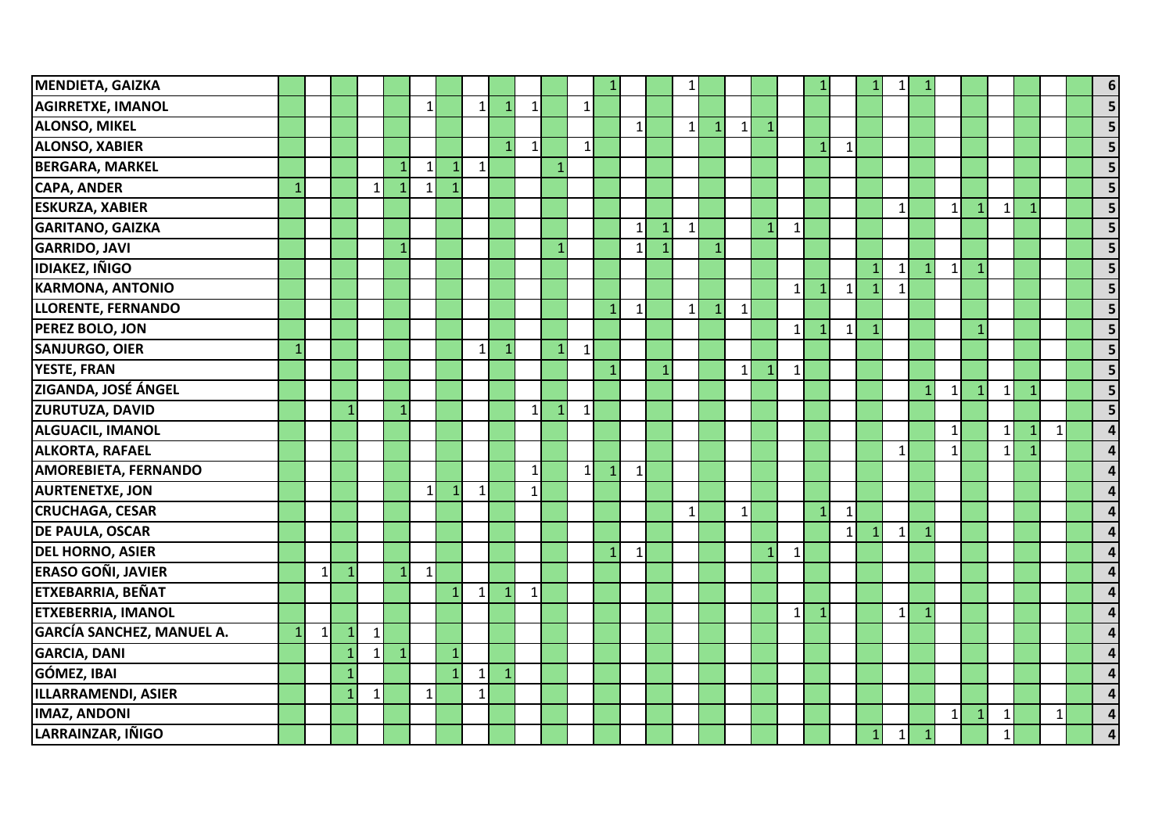| <b>MENDIETA, GAIZKA</b>          |                |   |              |              |                |              |                |                |                |              |                 |                |              |              |                | $\mathbf{1}$ |              |              |              |              |                |              |              | 1               |              |              |              |                |                |              | $6 \mid$                |
|----------------------------------|----------------|---|--------------|--------------|----------------|--------------|----------------|----------------|----------------|--------------|-----------------|----------------|--------------|--------------|----------------|--------------|--------------|--------------|--------------|--------------|----------------|--------------|--------------|-----------------|--------------|--------------|--------------|----------------|----------------|--------------|-------------------------|
| <b>AGIRRETXE, IMANOL</b>         |                |   |              |              |                | $\mathbf{1}$ |                | 1 <sup>1</sup> | $\mathbf 1$    | $\mathbf{1}$ |                 | 1              |              |              |                |              |              |              |              |              |                |              |              |                 |              |              |              |                |                |              | 5                       |
| <b>ALONSO, MIKEL</b>             |                |   |              |              |                |              |                |                |                |              |                 |                |              | $\mathbf{1}$ |                | $\vert$ 1    | $\mathbf{1}$ | $1\vert$     | $\mathbf{1}$ |              |                |              |              |                 |              |              |              |                |                |              | 5                       |
| <b>ALONSO, XABIER</b>            |                |   |              |              |                |              |                |                | $\overline{1}$ | $\mathbf{1}$ |                 | 1 <sup>1</sup> |              |              |                |              |              |              |              |              | $\mathbf{1}$   | $\mathbf{1}$ |              |                 |              |              |              |                |                |              | 5                       |
| <b>BERGARA, MARKEL</b>           |                |   |              |              | $\mathbf{1}$   | 1            | $\mathbf{1}$   | 1 <sup>1</sup> |                |              | $\mathbf{1}$    |                |              |              |                |              |              |              |              |              |                |              |              |                 |              |              |              |                |                |              | 5                       |
| <b>CAPA, ANDER</b>               | $\overline{1}$ |   |              | $\mathbf{1}$ | $\mathbf{1}$   | $\mathbf{1}$ | $\overline{1}$ |                |                |              |                 |                |              |              |                |              |              |              |              |              |                |              |              |                 |              |              |              |                |                |              | $\overline{\mathbf{5}}$ |
| <b>ESKURZA, XABIER</b>           |                |   |              |              |                |              |                |                |                |              |                 |                |              |              |                |              |              |              |              |              |                |              |              | $\mathbf{1}$    |              | $\mathbf{1}$ | $\mathbf{1}$ | $\mathbf{1}$   | $\mathbf{1}$   |              | 5                       |
| <b>GARITANO, GAIZKA</b>          |                |   |              |              |                |              |                |                |                |              |                 |                |              | $\mathbf{1}$ | $\mathbf{1}$   | $\mathbf{1}$ |              |              | $\mathbf{1}$ | $\mathbf{1}$ |                |              |              |                 |              |              |              |                |                |              | 5                       |
| <b>GARRIDO, JAVI</b>             |                |   |              |              | 1              |              |                |                |                |              | 1               |                |              | $\mathbf{1}$ | $\overline{1}$ |              | $\mathbf{1}$ |              |              |              |                |              |              |                 |              |              |              |                |                |              | 5                       |
| <b>IDIAKEZ, IÑIGO</b>            |                |   |              |              |                |              |                |                |                |              |                 |                |              |              |                |              |              |              |              |              |                |              |              | $1\overline{ }$ | $\mathbf{1}$ | 1            | $\mathbf{1}$ |                |                |              | $\overline{\mathbf{5}}$ |
| <b>KARMONA, ANTONIO</b>          |                |   |              |              |                |              |                |                |                |              |                 |                |              |              |                |              |              |              |              | $\mathbf{1}$ | $\mathbf{1}$   | $\mathbf{1}$ |              | $\mathbf{1}$    |              |              |              |                |                |              | 5                       |
| <b>LLORENTE, FERNANDO</b>        |                |   |              |              |                |              |                |                |                |              |                 |                |              | $\mathbf{1}$ |                | 1            | $\mathbf{1}$ | $1\vert$     |              |              |                |              |              |                 |              |              |              |                |                |              | 5                       |
| PEREZ BOLO, JON                  |                |   |              |              |                |              |                |                |                |              |                 |                |              |              |                |              |              |              |              | $\mathbf{1}$ |                | $\mathbf{1}$ | 1            |                 |              |              | $\mathbf{1}$ |                |                |              | 5                       |
| <b>SANJURGO, OIER</b>            | 1              |   |              |              |                |              |                | 1              | $\mathbf{1}$   |              | $1\overline{ }$ | $1\vert$       |              |              |                |              |              |              |              |              |                |              |              |                 |              |              |              |                |                |              | $\overline{\mathbf{5}}$ |
| <b>YESTE, FRAN</b>               |                |   |              |              |                |              |                |                |                |              |                 |                |              |              |                |              |              | $\mathbf{1}$ | $\mathbf{1}$ | $\mathbf{1}$ |                |              |              |                 |              |              |              |                |                |              | 5                       |
| <b>ZIGANDA, JOSÉ ÁNGEL</b>       |                |   |              |              |                |              |                |                |                |              |                 |                |              |              |                |              |              |              |              |              |                |              |              |                 | $\mathbf{1}$ | $\mathbf{1}$ | $\mathbf{1}$ | 11             | $\mathbf{1}$   |              | $\overline{5}$          |
| <b>ZURUTUZA, DAVID</b>           |                |   |              |              | $\mathbf{1}$   |              |                |                |                | $\mathbf{1}$ | 1               | $1\vert$       |              |              |                |              |              |              |              |              |                |              |              |                 |              |              |              |                |                |              | 5                       |
| <b>ALGUACIL, IMANOL</b>          |                |   |              |              |                |              |                |                |                |              |                 |                |              |              |                |              |              |              |              |              |                |              |              |                 |              | $\mathbf{1}$ |              | 1 <sup>1</sup> | $\mathbf{1}$   | $\mathbf{1}$ | $\Delta$                |
| <b>ALKORTA, RAFAEL</b>           |                |   |              |              |                |              |                |                |                |              |                 |                |              |              |                |              |              |              |              |              |                |              |              | $\mathbf{1}$    |              | $\mathbf{1}$ |              | 1              | $\overline{1}$ |              |                         |
| <b>AMOREBIETA, FERNANDO</b>      |                |   |              |              |                |              |                |                |                | $\mathbf{1}$ |                 | 11             | $\mathbf{1}$ | $\mathbf{1}$ |                |              |              |              |              |              |                |              |              |                 |              |              |              |                |                |              |                         |
| <b>AURTENETXE, JON</b>           |                |   |              |              |                | 1            | $\mathbf{1}$   | $1\vert$       |                | $\mathbf{1}$ |                 |                |              |              |                |              |              |              |              |              |                |              |              |                 |              |              |              |                |                |              |                         |
| <b>CRUCHAGA, CESAR</b>           |                |   |              |              |                |              |                |                |                |              |                 |                |              |              |                | $\mathbf{1}$ |              | $1\vert$     |              |              | 1 <sup>1</sup> | $\mathbf{1}$ |              |                 |              |              |              |                |                |              |                         |
| <b>DE PAULA, OSCAR</b>           |                |   |              |              |                |              |                |                |                |              |                 |                |              |              |                |              |              |              |              |              |                | 1            |              | $\mathbf{1}$    |              |              |              |                |                |              |                         |
| <b>DEL HORNO, ASIER</b>          |                |   |              |              |                |              |                |                |                |              |                 |                |              | $\mathbf{1}$ |                |              |              |              | $\mathbf{1}$ | $\mathbf{1}$ |                |              |              |                 |              |              |              |                |                |              | Δ                       |
| <b>ERASO GOÑI, JAVIER</b>        |                | 1 | $\mathbf{1}$ |              | $\mathbf{1}$   | $\mathbf{1}$ |                |                |                |              |                 |                |              |              |                |              |              |              |              |              |                |              |              |                 |              |              |              |                |                |              |                         |
| ETXEBARRIA, BEÑAT                |                |   |              |              |                |              | $\mathbf{1}$   | 1              | $\mathbf{1}$   | $1\vert$     |                 |                |              |              |                |              |              |              |              |              |                |              |              |                 |              |              |              |                |                |              |                         |
| <b>ETXEBERRIA, IMANOL</b>        |                |   |              |              |                |              |                |                |                |              |                 |                |              |              |                |              |              |              |              | $\mathbf{1}$ | $\overline{1}$ |              |              | $\mathbf{1}$    |              |              |              |                |                |              |                         |
| <b>GARCÍA SANCHEZ, MANUEL A.</b> | $\mathbf{1}$   | 1 | 1            | $\mathbf{1}$ |                |              |                |                |                |              |                 |                |              |              |                |              |              |              |              |              |                |              |              |                 |              |              |              |                |                |              |                         |
| <b>GARCIA, DANI</b>              |                |   | 1            | $\mathbf 1$  | $\overline{1}$ |              | $\mathbf{1}$   |                |                |              |                 |                |              |              |                |              |              |              |              |              |                |              |              |                 |              |              |              |                |                |              |                         |
| GÓMEZ, IBAI                      |                |   | 1            |              |                |              | $\mathbf{1}$   | 1              | $\mathbf{1}$   |              |                 |                |              |              |                |              |              |              |              |              |                |              |              |                 |              |              |              |                |                |              |                         |
| ILLARRAMENDI, ASIER              |                |   |              | $\mathbf{1}$ |                | $\mathbf{1}$ |                | $\mathbf{1}$   |                |              |                 |                |              |              |                |              |              |              |              |              |                |              |              |                 |              |              |              |                |                |              | Δ                       |
| <b>IMAZ, ANDONI</b>              |                |   |              |              |                |              |                |                |                |              |                 |                |              |              |                |              |              |              |              |              |                |              |              |                 |              | $\mathbf{1}$ | $\mathbf{1}$ | $\mathbf{1}$   |                | $\mathbf{1}$ | $\overline{\mathbf{4}}$ |
| LARRAINZAR, IÑIGO                |                |   |              |              |                |              |                |                |                |              |                 |                |              |              |                |              |              |              |              |              |                |              | $\mathbf{1}$ | $\mathbf 1$     | $\mathbf{1}$ |              |              | $\mathbf{1}$   |                |              | 4                       |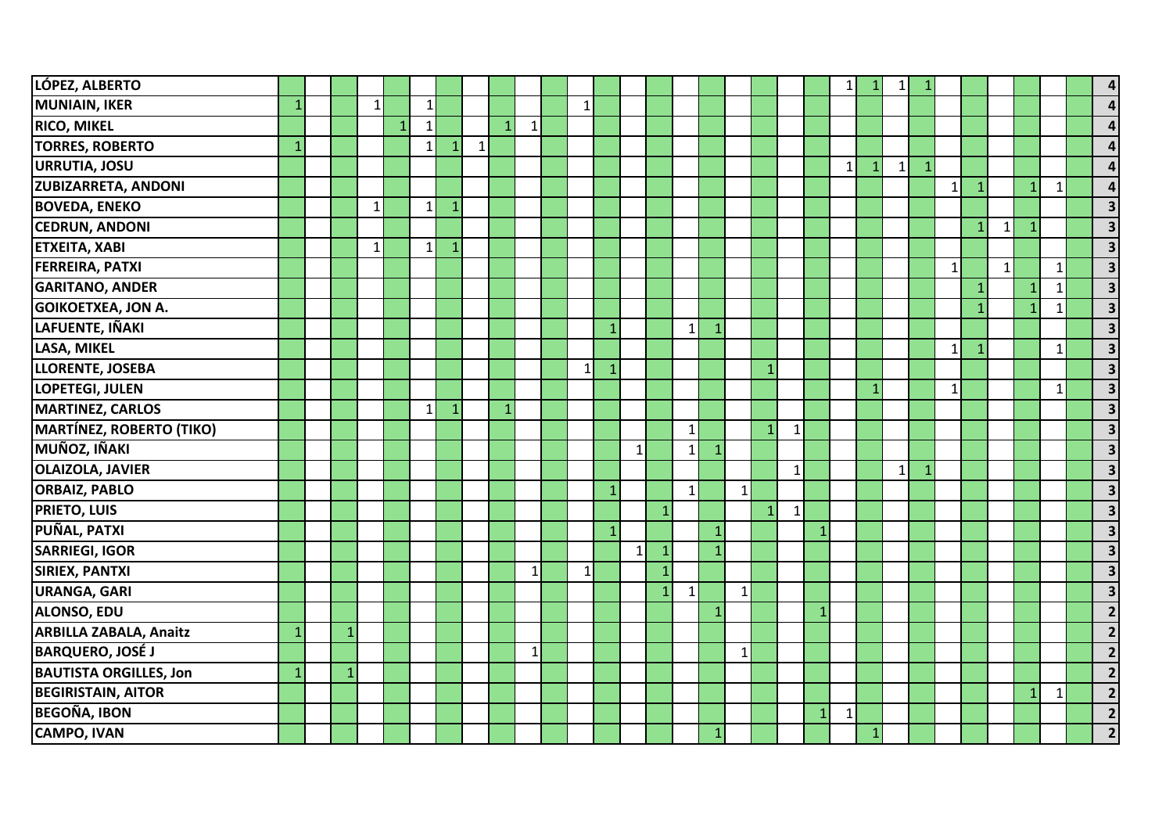| LÓPEZ, ALBERTO                  |                |              |              |                |              |              |   |                |              |              |              |              |              |              |              |              |              |              |   | $\mathbf{1}$ | 1            |    |              |              |              |                |              | 4                       |
|---------------------------------|----------------|--------------|--------------|----------------|--------------|--------------|---|----------------|--------------|--------------|--------------|--------------|--------------|--------------|--------------|--------------|--------------|--------------|---|--------------|--------------|----|--------------|--------------|--------------|----------------|--------------|-------------------------|
| MUNIAIN, IKER                   | 1              |              | $\mathbf{1}$ |                | $1\vert$     |              |   |                |              | $1\vert$     |              |              |              |              |              |              |              |              |   |              |              |    |              |              |              |                |              | $\Delta$                |
| <b>RICO, MIKEL</b>              |                |              |              | $\overline{1}$ | $\mathbf{1}$ |              |   | $\overline{1}$ | $\mathbf{1}$ |              |              |              |              |              |              |              |              |              |   |              |              |    |              |              |              |                |              |                         |
| <b>TORRES, ROBERTO</b>          | 1              |              |              |                | $\mathbf{1}$ | $\mathbf{1}$ | 1 |                |              |              |              |              |              |              |              |              |              |              |   |              |              |    |              |              |              |                |              |                         |
| <b>URRUTIA, JOSU</b>            |                |              |              |                |              |              |   |                |              |              |              |              |              |              |              |              |              |              |   | $\mathbf{1}$ | $\mathbf{1}$ | 1  |              |              |              |                |              | $\Delta$                |
| <b>ZUBIZARRETA, ANDONI</b>      |                |              |              |                |              |              |   |                |              |              |              |              |              |              |              |              |              |              |   |              |              |    | $1\vert$     | $\mathbf{1}$ |              | $\mathbf{1}$   | $\mathbf{1}$ | $\overline{a}$          |
| <b>BOVEDA, ENEKO</b>            |                |              | $\mathbf{1}$ |                | $\mathbf{1}$ | $\mathbf{1}$ |   |                |              |              |              |              |              |              |              |              |              |              |   |              |              |    |              |              |              |                |              | 3                       |
| <b>CEDRUN, ANDONI</b>           |                |              |              |                |              |              |   |                |              |              |              |              |              |              |              |              |              |              |   |              |              |    |              | $\mathbf{1}$ | $\mathbf{1}$ | $\mathbf{1}$   |              | $\overline{\mathbf{3}}$ |
| <b>ETXEITA, XABI</b>            |                |              | $\mathbf{1}$ |                | $\mathbf{1}$ | $\mathbf{1}$ |   |                |              |              |              |              |              |              |              |              |              |              |   |              |              |    |              |              |              |                |              | $\overline{\mathbf{3}}$ |
| <b>FERREIRA, PATXI</b>          |                |              |              |                |              |              |   |                |              |              |              |              |              |              |              |              |              |              |   |              |              |    | $\mathbf{1}$ |              | 1            |                | $\mathbf{1}$ | $\overline{\mathbf{3}}$ |
| <b>GARITANO, ANDER</b>          |                |              |              |                |              |              |   |                |              |              |              |              |              |              |              |              |              |              |   |              |              |    |              | $\mathbf{1}$ |              | $\overline{1}$ | $\mathbf{1}$ | $\overline{\mathbf{3}}$ |
| <b>GOIKOETXEA, JON A.</b>       |                |              |              |                |              |              |   |                |              |              |              |              |              |              |              |              |              |              |   |              |              |    |              | $\mathbf{1}$ |              | $\mathbf{1}$   | -1           | $\overline{\mathbf{3}}$ |
| LAFUENTE, IÑAKI                 |                |              |              |                |              |              |   |                |              |              | $\mathbf{1}$ |              |              | $\mathbf{1}$ | $\mathbf{1}$ |              |              |              |   |              |              |    |              |              |              |                |              | $\overline{\mathbf{3}}$ |
| LASA, MIKEL                     |                |              |              |                |              |              |   |                |              |              |              |              |              |              |              |              |              |              |   |              |              |    | $\mathbf{1}$ | $\mathbf{1}$ |              |                | $\mathbf{1}$ | $\overline{\mathbf{3}}$ |
| LLORENTE, JOSEBA                |                |              |              |                |              |              |   |                |              | $\mathbf{1}$ |              |              |              |              |              |              | $\mathbf{1}$ |              |   |              |              |    |              |              |              |                |              | $\overline{\mathbf{3}}$ |
| LOPETEGI, JULEN                 |                |              |              |                |              |              |   |                |              |              |              |              |              |              |              |              |              |              |   |              |              |    | $\mathbf{1}$ |              |              |                | $\mathbf 1$  | $\overline{\mathbf{3}}$ |
| MARTINEZ, CARLOS                |                |              |              |                | $\mathbf{1}$ | $\mathbf{1}$ |   | $\mathbf{1}$   |              |              |              |              |              |              |              |              |              |              |   |              |              |    |              |              |              |                |              | 3 <sup>1</sup>          |
| <b>MARTÍNEZ, ROBERTO (TIKO)</b> |                |              |              |                |              |              |   |                |              |              |              |              |              | $\mathbf{1}$ |              |              | $\mathbf{1}$ | $\mathbf{1}$ |   |              |              |    |              |              |              |                |              | $\overline{\mathbf{3}}$ |
| <b>MUÑOZ, IÑAKI</b>             |                |              |              |                |              |              |   |                |              |              |              | 1            |              | $\mathbf{1}$ | 1            |              |              |              |   |              |              |    |              |              |              |                |              | 3                       |
| <b>OLAIZOLA, JAVIER</b>         |                |              |              |                |              |              |   |                |              |              |              |              |              |              |              |              |              | 1            |   |              | $\mathbf{1}$ | -1 |              |              |              |                |              | 3                       |
| <b>ORBAIZ, PABLO</b>            |                |              |              |                |              |              |   |                |              |              |              |              |              | $\mathbf{1}$ |              | $\mathbf{1}$ |              |              |   |              |              |    |              |              |              |                |              | 3                       |
| <b>PRIETO, LUIS</b>             |                |              |              |                |              |              |   |                |              |              |              |              | $\mathbf{1}$ |              |              |              | $\mathbf{1}$ | $\mathbf{1}$ |   |              |              |    |              |              |              |                |              | 3                       |
| <b>PUÑAL, PATXI</b>             |                |              |              |                |              |              |   |                |              |              |              |              |              |              | $\mathbf{1}$ |              |              |              |   |              |              |    |              |              |              |                |              | 3                       |
| <b>SARRIEGI, IGOR</b>           |                |              |              |                |              |              |   |                |              |              |              | $\mathbf{1}$ |              |              | $\mathbf{1}$ |              |              |              |   |              |              |    |              |              |              |                |              | $\overline{\mathbf{3}}$ |
| <b>SIRIEX, PANTXI</b>           |                |              |              |                |              |              |   |                | $\mathbf{1}$ | 1            |              |              | 1            |              |              |              |              |              |   |              |              |    |              |              |              |                |              | 3                       |
| <b>URANGA, GARI</b>             |                |              |              |                |              |              |   |                |              |              |              |              | $\mathbf{1}$ | $\vert$ 1    |              | $1\vert$     |              |              |   |              |              |    |              |              |              |                |              | $\overline{\mathbf{3}}$ |
| <b>ALONSO, EDU</b>              |                |              |              |                |              |              |   |                |              |              |              |              |              |              | $\mathbf{1}$ |              |              |              | 1 |              |              |    |              |              |              |                |              |                         |
| <b>ARBILLA ZABALA, Anaitz</b>   | $\overline{1}$ | $\mathbf{1}$ |              |                |              |              |   |                |              |              |              |              |              |              |              |              |              |              |   |              |              |    |              |              |              |                |              | $\overline{2}$          |
| <b>BARQUERO, JOSÉ J</b>         |                |              |              |                |              |              |   |                | $\mathbf{1}$ |              |              |              |              |              |              | $\mathbf{1}$ |              |              |   |              |              |    |              |              |              |                |              | $\overline{\mathbf{2}}$ |
| <b>BAUTISTA ORGILLES, Jon</b>   | $\overline{1}$ | $\mathbf{1}$ |              |                |              |              |   |                |              |              |              |              |              |              |              |              |              |              |   |              |              |    |              |              |              |                |              | $\overline{\mathbf{2}}$ |
| <b>BEGIRISTAIN, AITOR</b>       |                |              |              |                |              |              |   |                |              |              |              |              |              |              |              |              |              |              |   |              |              |    |              |              |              | $\mathbf{1}$   | $\mathbf{1}$ | $\overline{2}$          |
| <b>BEGOÑA, IBON</b>             |                |              |              |                |              |              |   |                |              |              |              |              |              |              |              |              |              |              | 1 | $\mathbf{1}$ |              |    |              |              |              |                |              | $\overline{2}$          |
| <b>CAMPO, IVAN</b>              |                |              |              |                |              |              |   |                |              |              |              |              |              |              | $\mathbf{1}$ |              |              |              |   |              |              |    |              |              |              |                |              | $\overline{\mathbf{c}}$ |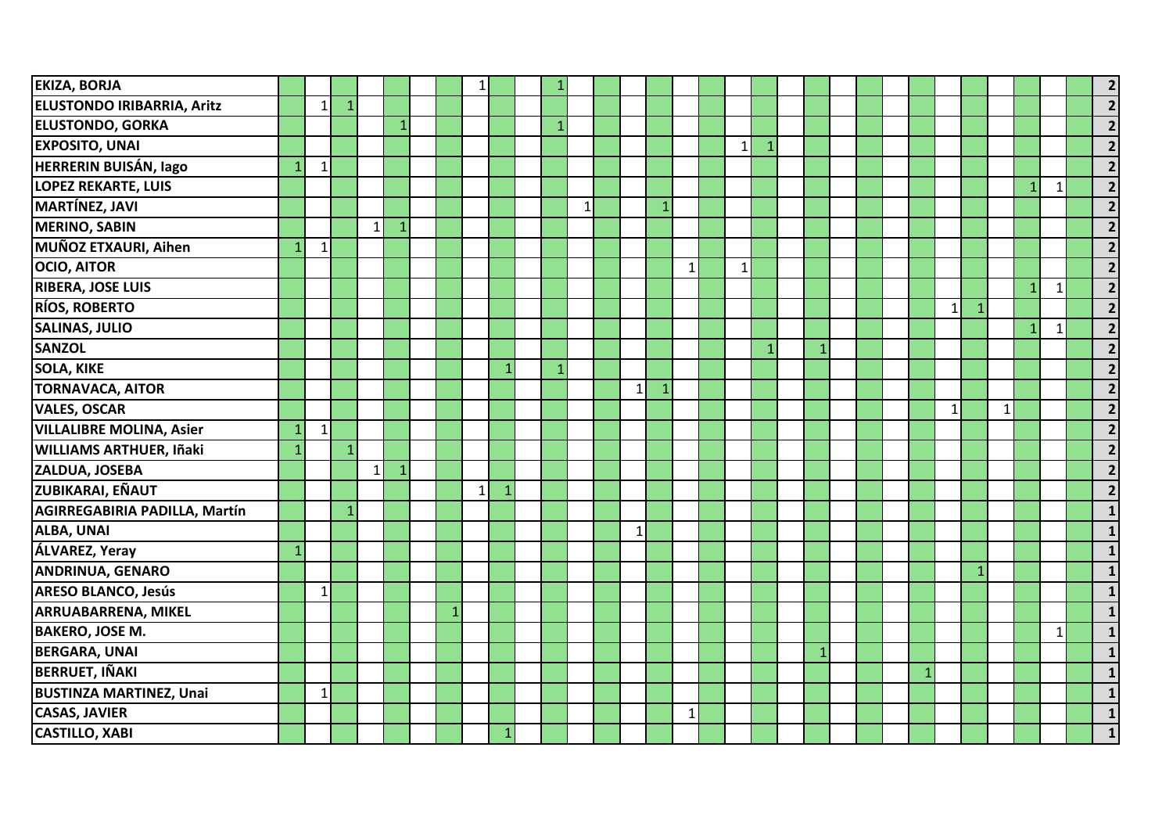| <b>EKIZA, BORJA</b>               |                |                |              |              |              |              |          |    |   |              |              |              |              |              |              |  |              |              |              |              |              |              |                         |
|-----------------------------------|----------------|----------------|--------------|--------------|--------------|--------------|----------|----|---|--------------|--------------|--------------|--------------|--------------|--------------|--|--------------|--------------|--------------|--------------|--------------|--------------|-------------------------|
| <b>ELUSTONDO IRIBARRIA, Aritz</b> |                | 11             | $\mathbf{1}$ |              |              |              |          |    |   |              |              |              |              |              |              |  |              |              |              |              |              |              | $\overline{2}$          |
| <b>ELUSTONDO, GORKA</b>           |                |                |              |              | 1            |              |          |    | 1 |              |              |              |              |              |              |  |              |              |              |              |              |              |                         |
| <b>EXPOSITO, UNAI</b>             |                |                |              |              |              |              |          |    |   |              |              |              | $\mathbf{1}$ | $\mathbf{1}$ |              |  |              |              |              |              |              |              |                         |
| <b>HERRERIN BUISÁN, lago</b>      |                | $\mathbf{1}$   |              |              |              |              |          |    |   |              |              |              |              |              |              |  |              |              |              |              |              |              | $\overline{\mathbf{z}}$ |
| <b>LOPEZ REKARTE, LUIS</b>        |                |                |              |              |              |              |          |    |   |              |              |              |              |              |              |  |              |              |              |              | $\mathbf{1}$ | $\mathbf{1}$ | $\overline{2}$          |
| <b>MARTÍNEZ, JAVI</b>             |                |                |              |              |              |              |          |    |   | $\mathbf{1}$ |              |              |              |              |              |  |              |              |              |              |              |              | $\overline{2}$          |
| <b>MERINO, SABIN</b>              |                |                |              | $\mathbf{1}$ |              |              |          |    |   |              |              |              |              |              |              |  |              |              |              |              |              |              | $\overline{\mathbf{z}}$ |
| MUÑOZ ETXAURI, Aihen              |                | $\mathbf{1}$   |              |              |              |              |          |    |   |              |              |              |              |              |              |  |              |              |              |              |              |              | $\overline{2}$          |
| <b>OCIO, AITOR</b>                |                |                |              |              |              |              |          |    |   |              |              | $\mathbf{1}$ | $\mathbf{1}$ |              |              |  |              |              |              |              |              |              | $\overline{2}$          |
| <b>RIBERA, JOSE LUIS</b>          |                |                |              |              |              |              |          |    |   |              |              |              |              |              |              |  |              |              |              |              | $\mathbf{1}$ | $\mathbf{1}$ | $\overline{\mathbf{z}}$ |
| <b>RÍOS, ROBERTO</b>              |                |                |              |              |              |              |          |    |   |              |              |              |              |              |              |  |              | $\mathbf{1}$ | $\mathbf{1}$ |              |              |              | $\overline{2}$          |
| <b>SALINAS, JULIO</b>             |                |                |              |              |              |              |          |    |   |              |              |              |              |              |              |  |              |              |              |              | $\mathbf{1}$ | $\mathbf{1}$ | $\overline{2}$          |
| <b>SANZOL</b>                     |                |                |              |              |              |              |          |    |   |              |              |              |              | $\mathbf{1}$ | $\mathbf{1}$ |  |              |              |              |              |              |              | $\overline{2}$          |
| <b>SOLA, KIKE</b>                 |                |                |              |              |              |              |          |    |   |              |              |              |              |              |              |  |              |              |              |              |              |              |                         |
| <b>TORNAVACA, AITOR</b>           |                |                |              |              |              |              |          |    |   |              | $\mathbf{1}$ |              |              |              |              |  |              |              |              |              |              |              | $\overline{\mathbf{z}}$ |
| <b>VALES, OSCAR</b>               |                |                |              |              |              |              |          |    |   |              |              |              |              |              |              |  |              | $\mathbf{1}$ |              | $\mathbf{1}$ |              |              | $\overline{2}$          |
| <b>VILLALIBRE MOLINA, Asier</b>   | $\overline{1}$ | 1 <sup>1</sup> |              |              |              |              |          |    |   |              |              |              |              |              |              |  |              |              |              |              |              |              | $\overline{2}$          |
| <b>WILLIAMS ARTHUER, Iñaki</b>    |                |                |              |              |              |              |          |    |   |              |              |              |              |              |              |  |              |              |              |              |              |              |                         |
| ZALDUA, JOSEBA                    |                |                |              | $\mathbf{1}$ | $\mathbf{1}$ |              |          |    |   |              |              |              |              |              |              |  |              |              |              |              |              |              |                         |
| <b>ZUBIKARAI, EÑAUT</b>           |                |                |              |              |              |              | $1\vert$ | -1 |   |              |              |              |              |              |              |  |              |              |              |              |              |              | $\overline{\mathbf{z}}$ |
| AGIRREGABIRIA PADILLA, Martín     |                |                | $\mathbf{1}$ |              |              |              |          |    |   |              |              |              |              |              |              |  |              |              |              |              |              |              |                         |
| ALBA, UNAI                        |                |                |              |              |              |              |          |    |   |              | $\mathbf{1}$ |              |              |              |              |  |              |              |              |              |              |              |                         |
| <b>ÁLVAREZ, Yeray</b>             | 1              |                |              |              |              |              |          |    |   |              |              |              |              |              |              |  |              |              |              |              |              |              |                         |
| <b>ANDRINUA, GENARO</b>           |                |                |              |              |              |              |          |    |   |              |              |              |              |              |              |  |              |              | $\mathbf{1}$ |              |              |              |                         |
| <b>ARESO BLANCO, Jesús</b>        |                | 1              |              |              |              |              |          |    |   |              |              |              |              |              |              |  |              |              |              |              |              |              |                         |
| <b>ARRUABARRENA, MIKEL</b>        |                |                |              |              |              | $\mathbf{1}$ |          |    |   |              |              |              |              |              |              |  |              |              |              |              |              |              |                         |
| <b>BAKERO, JOSE M.</b>            |                |                |              |              |              |              |          |    |   |              |              |              |              |              |              |  |              |              |              |              |              | -1           |                         |
| <b>BERGARA, UNAI</b>              |                |                |              |              |              |              |          |    |   |              |              |              |              |              |              |  |              |              |              |              |              |              |                         |
| <b>BERRUET, IÑAKI</b>             |                |                |              |              |              |              |          |    |   |              |              |              |              |              |              |  | $\mathbf{1}$ |              |              |              |              |              |                         |
| <b>BUSTINZA MARTINEZ, Unai</b>    |                | $\mathbf{1}$   |              |              |              |              |          |    |   |              |              |              |              |              |              |  |              |              |              |              |              |              |                         |
| <b>CASAS, JAVIER</b>              |                |                |              |              |              |              |          |    |   |              |              | $\mathbf{1}$ |              |              |              |  |              |              |              |              |              |              |                         |
| <b>CASTILLO, XABI</b>             |                |                |              |              |              |              |          |    |   |              |              |              |              |              |              |  |              |              |              |              |              |              |                         |
|                                   |                |                |              |              |              |              |          |    |   |              |              |              |              |              |              |  |              |              |              |              |              |              |                         |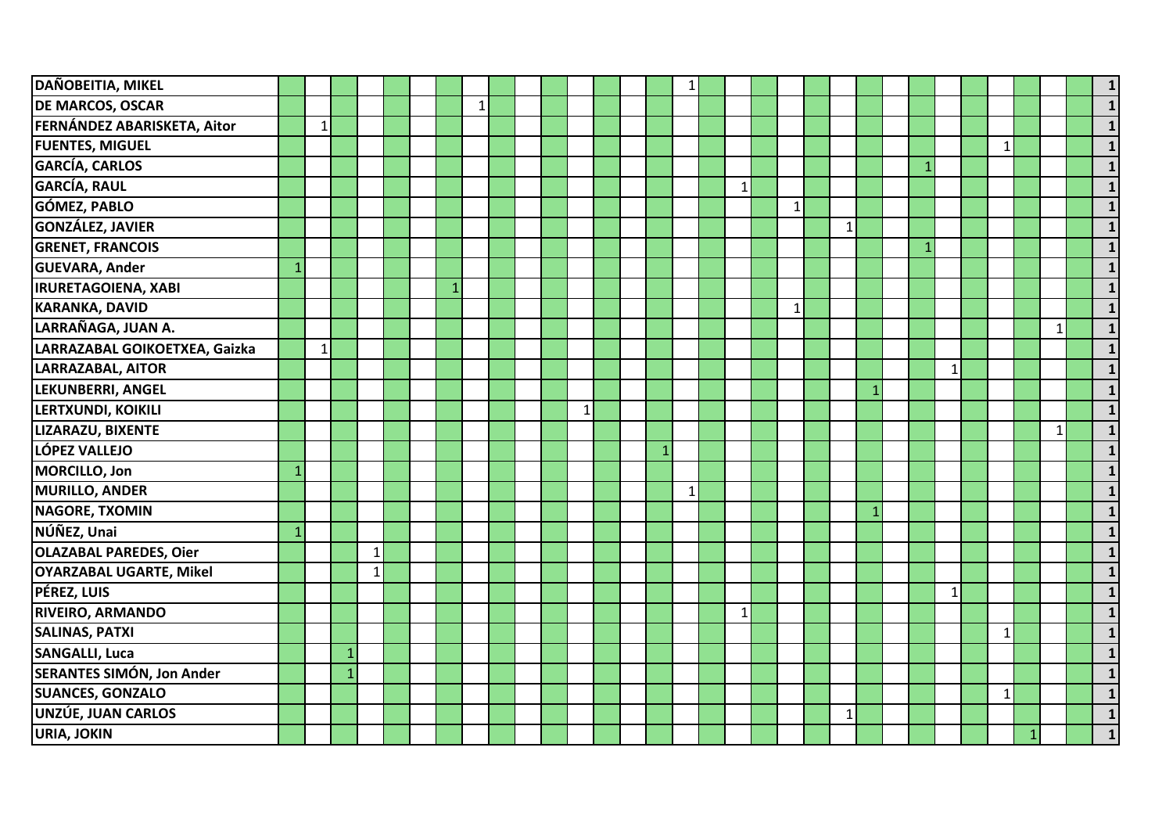| <b>DAÑOBEITIA, MIKEL</b>       |              |              |              |              |  |              |          |  |              |  | $\mathbf{1}$ |              |              |              |  |              |              |              |              |              |
|--------------------------------|--------------|--------------|--------------|--------------|--|--------------|----------|--|--------------|--|--------------|--------------|--------------|--------------|--|--------------|--------------|--------------|--------------|--------------|
| <b>DE MARCOS, OSCAR</b>        |              |              |              |              |  |              | $1\vert$ |  |              |  |              |              |              |              |  |              |              |              |              |              |
| FERNÁNDEZ ABARISKETA, Aitor    |              | $\mathbf{1}$ |              |              |  |              |          |  |              |  |              |              |              |              |  |              |              |              |              |              |
| <b>FUENTES, MIGUEL</b>         |              |              |              |              |  |              |          |  |              |  |              |              |              |              |  |              | $\mathbf{1}$ |              |              |              |
| GARCÍA, CARLOS                 |              |              |              |              |  |              |          |  |              |  |              |              |              |              |  |              |              |              |              |              |
| <b>GARCÍA, RAUL</b>            |              |              |              |              |  |              |          |  |              |  |              | $\mathbf{1}$ |              |              |  |              |              |              |              |              |
| GÓMEZ, PABLO                   |              |              |              |              |  |              |          |  |              |  |              |              | $\mathbf{1}$ |              |  |              |              |              |              |              |
| <b>GONZÁLEZ, JAVIER</b>        |              |              |              |              |  |              |          |  |              |  |              |              |              | $\mathbf{1}$ |  |              |              |              |              |              |
| <b>GRENET, FRANCOIS</b>        |              |              |              |              |  |              |          |  |              |  |              |              |              |              |  |              |              |              |              |              |
| <b>GUEVARA, Ander</b>          | $\mathbf{1}$ |              |              |              |  |              |          |  |              |  |              |              |              |              |  |              |              |              |              |              |
| <b>IRURETAGOIENA, XABI</b>     |              |              |              |              |  | $\mathbf{1}$ |          |  |              |  |              |              |              |              |  |              |              |              |              |              |
| <b>KARANKA, DAVID</b>          |              |              |              |              |  |              |          |  |              |  |              |              | $\mathbf 1$  |              |  |              |              |              |              |              |
| LARRAÑAGA, JUAN A.             |              |              |              |              |  |              |          |  |              |  |              |              |              |              |  |              |              |              | $\mathbf{1}$ | $\mathbf 1$  |
| LARRAZABAL GOIKOETXEA, Gaizka  |              | $\mathbf{1}$ |              |              |  |              |          |  |              |  |              |              |              |              |  |              |              |              |              |              |
| LARRAZABAL, AITOR              |              |              |              |              |  |              |          |  |              |  |              |              |              |              |  | $\mathbf{1}$ |              |              |              |              |
| LEKUNBERRI, ANGEL              |              |              |              |              |  |              |          |  |              |  |              |              |              |              |  |              |              |              |              |              |
| LERTXUNDI, KOIKILI             |              |              |              |              |  |              |          |  | $\mathbf{1}$ |  |              |              |              |              |  |              |              |              |              |              |
| LIZARAZU, BIXENTE              |              |              |              |              |  |              |          |  |              |  |              |              |              |              |  |              |              |              | $\mathbf{1}$ |              |
| LÓPEZ VALLEJO                  |              |              |              |              |  |              |          |  |              |  |              |              |              |              |  |              |              |              |              |              |
| MORCILLO, Jon                  | $\mathbf{1}$ |              |              |              |  |              |          |  |              |  |              |              |              |              |  |              |              |              |              |              |
| MURILLO, ANDER                 |              |              |              |              |  |              |          |  |              |  | $\mathbf{1}$ |              |              |              |  |              |              |              |              |              |
| <b>NAGORE, TXOMIN</b>          |              |              |              |              |  |              |          |  |              |  |              |              |              |              |  |              |              |              |              |              |
| NÚÑEZ, Unai                    | 1            |              |              |              |  |              |          |  |              |  |              |              |              |              |  |              |              |              |              |              |
| <b>OLAZABAL PAREDES, Oier</b>  |              |              |              | $\mathbf{1}$ |  |              |          |  |              |  |              |              |              |              |  |              |              |              |              |              |
| <b>OYARZABAL UGARTE, Mikel</b> |              |              |              | $\mathbf{1}$ |  |              |          |  |              |  |              |              |              |              |  |              |              |              |              |              |
| PÉREZ, LUIS                    |              |              |              |              |  |              |          |  |              |  |              |              |              |              |  | $\vert$ 1    |              |              |              |              |
| <b>RIVEIRO, ARMANDO</b>        |              |              |              |              |  |              |          |  |              |  |              | $\mathbf{1}$ |              |              |  |              |              |              |              |              |
| <b>SALINAS, PATXI</b>          |              |              |              |              |  |              |          |  |              |  |              |              |              |              |  |              | 1            |              |              |              |
| <b>SANGALLI, Luca</b>          |              |              | 1            |              |  |              |          |  |              |  |              |              |              |              |  |              |              |              |              |              |
| SERANTES SIMÓN, Jon Ander      |              |              | $\mathbf{1}$ |              |  |              |          |  |              |  |              |              |              |              |  |              |              |              |              |              |
| <b>SUANCES, GONZALO</b>        |              |              |              |              |  |              |          |  |              |  |              |              |              |              |  |              | $\mathbf{1}$ |              |              |              |
| UNZÚE, JUAN CARLOS             |              |              |              |              |  |              |          |  |              |  |              |              |              | $\mathbf{1}$ |  |              |              |              |              |              |
| <b>URIA, JOKIN</b>             |              |              |              |              |  |              |          |  |              |  |              |              |              |              |  |              |              | $\mathbf{1}$ |              | $\mathbf{1}$ |